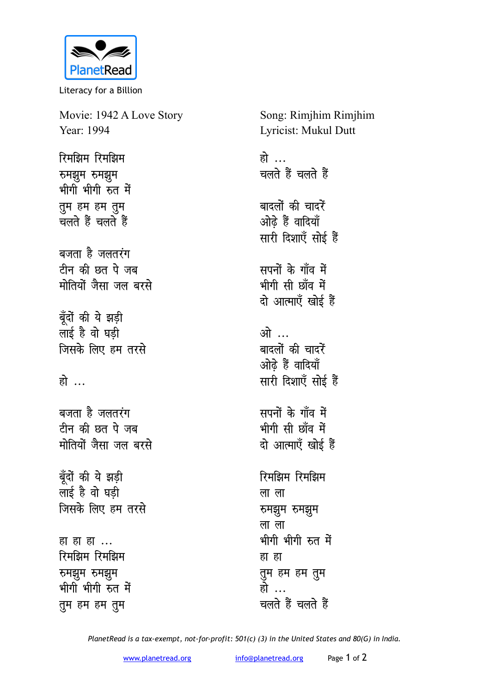

Literacy for a Billion

Movie: 1942 A Love Story Year: 1994

रिमझिम रिमझिम  $\overline{b}$  **#**  $\overline{c}$   $\overline{c}$   $\overline{c}$   $\overline{c}$   $\overline{c}$   $\overline{c}$   $\overline{c}$   $\overline{c}$   $\overline{c}$   $\overline{c}$   $\overline{c}$   $\overline{c}$   $\overline{c}$   $\overline{c}$   $\overline{c}$   $\overline{c}$   $\overline{c}$   $\overline{c}$   $\overline{c}$   $\overline{c}$   $\overline{c}$   $\overline{c}$   $\overline{c}$  भीगी भीगी रुत में तुम हम हम तुम **चलते हैं चलते हैं** 

बजता है जलतरंग <u>टीन की छत पे जब</u> **मोतियों जैसा जल बरसे** 

बूँदों की ये झड़ी लाई है वो घड़ी **जिसके लिए हम तरसे** 

हो ...

बजता है जलतरंग टीन की छत पे जब **मोतियों जैसा जल बरसे** 

बूँदों की ये झड़ी लाई है वो घड़ी **जिसके लिए हम तरसे** 

हा हा <sub>\*\*\*</sub> रिमझिम रिमझिम  $\overline{\text{H}}$ सञ्जूम भीगी भीगी रुत में **तुम हम हम तुम** 

Song: Rimjhim Rimjhim Lyricist: Mukul Dutt

हो … चलते हैं चलते हैं बादलों की चादरें ओढे हैं वादियाँ **सारी दिशाएँ सोई हैं** सपनों के गाँव में भीगी सी छाँव में दो आत्माएँ खोई हैं <u>ओे …</u> बादलों की चादरें ओढ़े हैं वादियाँ **सारी दिशाएँ सोई हैं** सपनों के गाँव में भीगी सी छाँव में दो आत्माएँ खोई हैं रिमझिम रिमझिम **ला** ला  $\overline{v}$ **#**<br> $\overline{v}$   $\overline{v}$ <br> $\overline{v}$ <br> $\overline{v}$ **ला** ला भीगी भीगी **रुत** में हा ह<u>ा</u> तुम हम हम <u>त</u>ुम हो चलते हैं चलते हैं

*PlanetRead is a tax-exempt, not-for-profit: 501(c) (3) in the United States and 80(G) in India.*